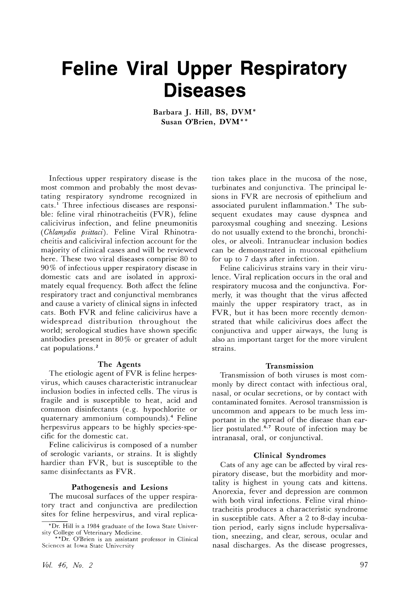# **Feline Viral Upper Respiratory Diseases**

**Barbara J. Hill, BS, DVM\* Susan O'Brien, DVM\* \***

Infectious upper respiratory disease is the most common and probably the most devastating respiratory syndrome recognized in cats.<sup>1</sup> Three infectious diseases are responsible: feline viral rhinotracheitis (FVR), feline calicivirus infection, and feline pneumonitis *(Chlamydia psittaci).* Feline Viral Rhinotracheitis and caliciviral infection account for the majority of clinical cases and will be reviewed here. These two viral diseases comprise 80 to 90 % of infectious upper respiratory disease in domestic cats and are isolated in approximately equal frequency. Both affect the feline respiratory tract and conjunctival membranes and cause a variety of clinical signs in infected cats. Both FVR and feline calicivirus have a widespread distribution throughout the world; serological studies have shown specific antibodies present in  $80\%$  or greater of adult cat populations.<sup>2</sup>

### **The Agents**

The etiologic agent of FVR is feline herpesvirus, which causes characteristic intranuclear inclusion bodies in infected cells. The virus is fragile and is susceptible to heat, acid and common disinfectants (e.g. hypochlorite or quaternary ammonium compounds).4 Feline herpesvirus appears to be highly species-specific for the domestic cat.

Feline calicivirus is composed of a number of serologic variants, or strains. It is slightly hardier than FVR, but is susceptible to the same disinfectants as FVR.

#### **Pathogenesis and Lesions**

The mucosal surfaces of the upper respiratory tract and conjunctiva are predilection sites for feline herpesvirus, and viral replica-

vol. 46) *No. 2*

tion takes place in the mucosa of the nose, turbinates and conjunctiva. The principal lesions in FVR are necrosis of epithelium and associated purulent inflammation.<sup>5</sup> The subsequent exudates may cause dyspnea and paroxysmal coughing and sneezing. Lesions do not usually extend to the bronchi, bronchioles, or alveoli. Intranuclear inclusion bodies can be demonstrated in mucosal epithelium for up to 7 days after infection.

Feline calicivirus strains vary in their virulence. Viral replication occurs in the oral and respiratory mucosa and the conjunctiva. Formerly, it was thought that the virus affected mainly the upper respiratory tract, as in FVR, but it has been more recently demonstrated that while calicivirus does affect the conjunctiva and upper airways, the lung is also an important target for the more virulent strains.

### **Transmission**

Transmission of both viruses is most commonly by direct contact with infectious oral, nasal, or ocular secretions, or by contact with contaminated fomites. Aerosol transmission is uncommon and appears to be much less important in the spread of the disease than earlier postulated. $6.7$  Route of infection may be intranasal, oral, or conjunctival.

#### **Clinical Syndromes**

Cats of any age can be affected by viral respiratory disease, but the morbidity and mortality is highest in young cats and kittens. Anorexia, fever and depression are common with both viral infections. Feline viral rhinotracheitis produces a characteristic syndrome in susceptible cats. After a 2 to 8-day incubation period, early signs include hypersalivation, sneezing, and clear, serous, ocular and nasal discharges. As the disease progresses,

<sup>\*</sup>Dr. Hill is a 1984 graduate of the Iowa State University College of Veterinary Medicine.

<sup>\*\*</sup>Dr. O'Brien is an assistant professor in Clinical Sciences at Iowa State University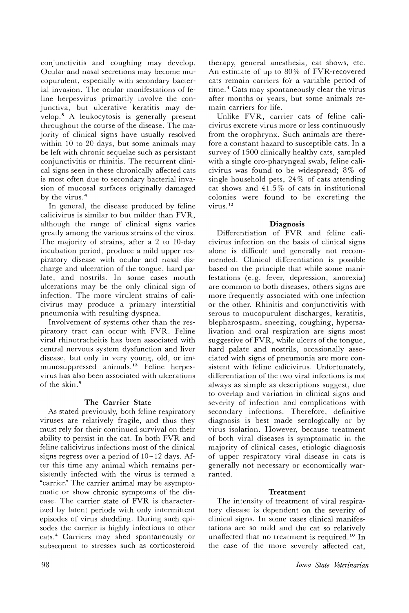conjunctivitis and coughing may develop. Ocular and nasal secretions may become mucopurulent, especially with secondary bacterial invasion. The ocular manifestations of feline herpesvirus primarily involve the conjunctiva, but ulcerative keratitis may develop.8 A leukocytosis is generally present throughout the course of the disease. The majority of clinical signs have usually resolved within 10 to 20 days, but some animals may be left with chronic sequelae such as persistant conjunctivitis or rhinitis. The recurrent clinical signs seen in these chronically affected cats is most often due to secondary bacterial invasion of mucosal surfaces originally damaged by the virus. <sup>4</sup>

In general, the disease produced by feline calicivirus is similar to but milder than FVR, although the range of clinical signs varies greatly among the various strains of the virus. The majority of strains, after a 2 to 10-day incubation period, produce a mild upper respiratory disease with ocular and nasal discharge and ulceration of the tongue, hard palate, and nostrils. In some cases mouth ulcerations may be the only clinical sign of infection. The more virulent strains of calicivirus may produce a primary interstitial pneumonia with resulting dyspnea.

Involvement of systems other than the respiratory tract can occur with FVR. Feline viral rhinotracheitis has been associated with central nervous system dysfunction and liver disease, but only in very young, old, or immunosuppressed animals. <sup>13</sup> Feline herpesvirus has also been associated with ulcerations of the skin. <sup>9</sup>

# The Carrier State

As stated previously, both feline respiratory viruses are relatively fragile, and thus they must rely for their continued survival on their ability to persist in the cat. In both FVR and feline calicivirus infections most of the clinical signs regress over a period of 10 -12 days. After this time any animal which remains persistently infected with the virus is termed a "carrier." The carrier animal may be asymptomatic or show chronic symptoms of the disease. The carrier state of FVR is characterized by latent periods with only intermittent episodes of virus shedding. During such episodes the carrier is highly infectious to other cats. <sup>4</sup> Carriers may shed spontaneously or subsequent to stresses such as corticosteroid

therapy, general anesthesia, cat shows, etc. An estimate of up to  $80\%$  of FVR-recovered cats remain carriers for a variable period of time.<sup>4</sup> Cats may spontaneously clear the virus after months or years, but some animals remain carriers for life.

Unlike FVR, carrier cats of feline calicivirus excrete virus more or less continuously from the orophrynx. Such animals are therefore a constant hazard to susceptible cats. In a survey of 1500 clinically healthy cats, sampled with a single oro-pharyngeal swab, feline calicivirus was found to be widespread;  $8\%$  of single household pets, 24 % of cats attending cat shows and 41.5% of cats in institutional colonies were found to be excreting the virus. <sup>12</sup>

## Diagnosis

Differentiation of FVR and feline calicivirus infection on the basis of clinical signs alone is difficult and generally not recommended. Clinical differentiation is possible based on the principle that while some manifestations (e.g. fever, depression, anorexia) are common to both diseases, others signs are more frequently associated with one infection or the other. Rhinitis and conjunctivitis with serous to mucopurulent discharges, keratitis, blepharospasm, sneezing, coughing, hypersalivation and oral respiration are signs most suggestive of FVR, while ulcers of the tongue, hard palate and nostrils, occasionally associated with signs of pneumonia are more consistent with feline calicivirus. Unfortunately, differentiation of the two viral infections is not always as simple as descriptions suggest, due to overlap and variation in clinical signs and severity of infection and complications with secondary infections. Therefore, definitive diagnosis is best made serologically or by virus isolation. However, because treatment of both viral diseases is symptomatic in the majority of clinical cases, etiologic diagnosis of upper respiratory viral disease in cats is generally not necessary or economically warranted.

# Treatment

The intensity of treatment of viral respiratory disease is dependent on the severity of clinical signs. In some cases clinical manifestations are so mild and the cat so relatively unaffected that no treatment is required.<sup>10</sup> In the case of the more severely affected cat,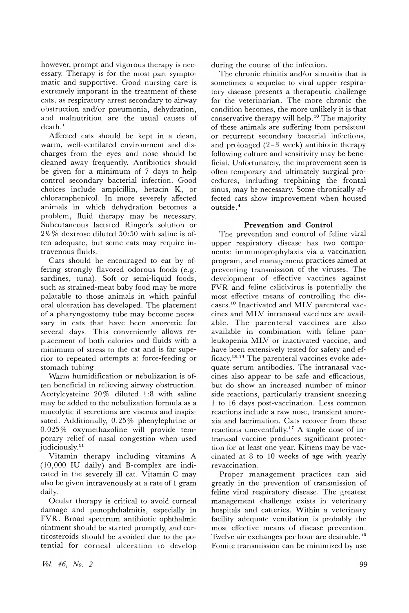however, prompt and vigorous therapy is necessary. Therapy is for the most part symptomatic and supportive. Good nursing care is extremely imporant in the treatment of these cats, as respiratory arrest secondary to airway obstruction and/or pneumonia, dehydration, and malnutrition are the usual causes of death.<sup>1</sup>

Affected cats should be kept in a clean, warm, well-ventilated environment and discharges from the eyes and nose should be cleaned away frequently. Antibiotics should be given for a minimum of 7 days to help control secondary bacterial infection. Good choices include ampicillin, hetacin K, or chloramphenicol. In more severely affected animals in which dehydration becomes a problem, fluid therapy may be necessary. Subcutaneous lactated Ringer's solution or *2*1 *<sup>12</sup>* % dextrose diluted 50: 50 with saline is often adequate, but some cats may require intravenous fluids.

Cats should be encouraged to eat by offering strongly flavored odorous foods (e. g. sardines, tuna). Soft or semi-liquid foods, such as strained-meat baby food may be more palatable to those animals in which painful oral ulceration has developed. The placement of a pharyngostomy tube may become necessary in cats that have been anorectic for several days. This conveniently allows replacement of both calories and fluids with a minimum of stress to the cat and is far superior to repeated attempts at force-feeding or stomach tubing.

Warm humidification or nebulization is often beneficial in relieving airway obstruction. Acetylcysteine 20 % diluted 1:8 with saline may be added to the nebulization formula as a mucolytic if secretions are viscous and inspissated. Additionally, 0.25 % phenylephrine or 0.025% oxymethazoline will provide temporary relief of nasal congestion when used judiciously.<sup>11</sup>

Vitamin therapy including vitamins A (10,000 IU daily) and B-complex are indicated in the severely ill cat. Vitamin C may also be given intravenously at a rate of 1 gram daily.

Ocular therapy is critical to avoid corneal damage and panophthalmitis, especially in FVR. Broad spectrum antibiotic ophthalmic ointment should be started promptly, and corticosteroids should be avoided due to the potential for corneal ulceration to develop during the course of the infection.

The chronic rhinitis and/or sinusitis that is sometimes a sequelae to viral upper respiratory disease presents a therapeutic challenge for the veterinarian. The more chronic the condition becomes, the more unlikely it is that conservative therapy will help. <sup>10</sup> The majority of these animals are suffering from persistent or recurrent secondary bacterial infections, and prolonged  $(2-3$  week) antibiotic therapy following culture and sensitivity may be beneficial. Unfortunately, the improvement seen is often temporary and ultimately surgical procedures, including trephining the frontal sinus, may be necessary. Some chronically affected cats show improvement when housed outside. 4

## **Prevention and Control**

The prevention and control of feline viral upper respiratory disease has two components: immunoprophylaxis via a vaccination program, and management practices aimed at preventing transmission of the viruses. The development of effective vaccines against FVR and feline calicivirus is potentially the most effective means of controlling the diseases. <sup>10</sup> Inactivated and MLV parenteral vaccines and MLV intranasal vaccines are available. The parenteral vaccines are also available in combination with feline panleukopenia MLV or inactivated vaccine, and have been extensively tested for safety and efficacy.13.14 The parenteral vaccines evoke adequate serum antibodies. The intranasal vaccines also appear to be safe and efficacious, but do show an increased number of minor side reactions, particularly transient sneezing 1 to 16 days post-vaccination. Less common reactions include a raw nose, transient anorexia and lacrimation. Cats recover from these reactions uneventfully.17 A single dose of intranasal vaccine produces significant protection for at least one year. Kittens may be vaccinated at 8 to 10 weeks of age with yearly revaccination.

Proper management practices can aid greatly in the prevention of transmission of feline viral respiratory disease. The greatest management challenge exists in veterinary hospitals and catteries. Within a veterinary facility adequate ventilation is probably the most effective means of disease prevention. Twelve air exchanges per hour are desirable. <sup>10</sup> Fomite transmission can be minimized by use